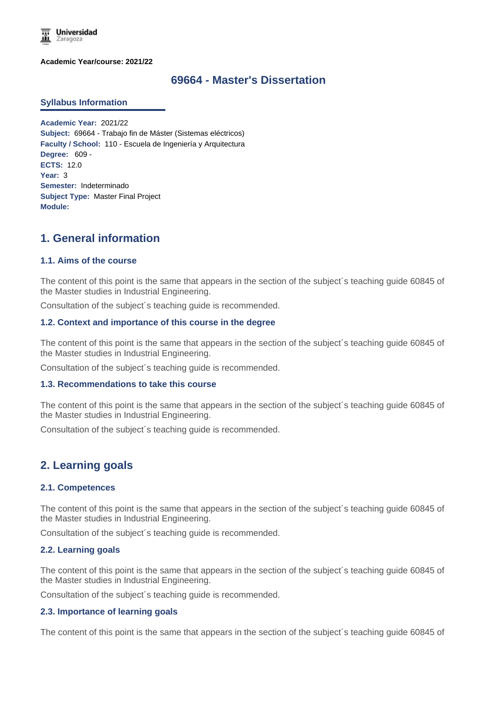

**Academic Year/course: 2021/22**

## **69664 - Master's Dissertation**

#### **Syllabus Information**

**Academic Year:** 2021/22 **Subject:** 69664 - Trabajo fin de Máster (Sistemas eléctricos) **Faculty / School:** 110 - Escuela de Ingeniería y Arquitectura **Degree:** 609 - **ECTS:** 12.0 **Year:** 3 **Semester:** Indeterminado **Subject Type:** Master Final Project **Module:**

# **1. General information**

#### **1.1. Aims of the course**

The content of this point is the same that appears in the section of the subject´s teaching guide 60845 of the Master studies in Industrial Engineering.

Consultation of the subject´s teaching guide is recommended.

#### **1.2. Context and importance of this course in the degree**

The content of this point is the same that appears in the section of the subject´s teaching guide 60845 of the Master studies in Industrial Engineering.

Consultation of the subject´s teaching guide is recommended.

#### **1.3. Recommendations to take this course**

The content of this point is the same that appears in the section of the subject´s teaching guide 60845 of the Master studies in Industrial Engineering.

Consultation of the subject´s teaching guide is recommended.

## **2. Learning goals**

#### **2.1. Competences**

The content of this point is the same that appears in the section of the subject´s teaching guide 60845 of the Master studies in Industrial Engineering.

Consultation of the subject´s teaching guide is recommended.

#### **2.2. Learning goals**

The content of this point is the same that appears in the section of the subject´s teaching guide 60845 of the Master studies in Industrial Engineering.

Consultation of the subject´s teaching guide is recommended.

#### **2.3. Importance of learning goals**

The content of this point is the same that appears in the section of the subject´s teaching guide 60845 of